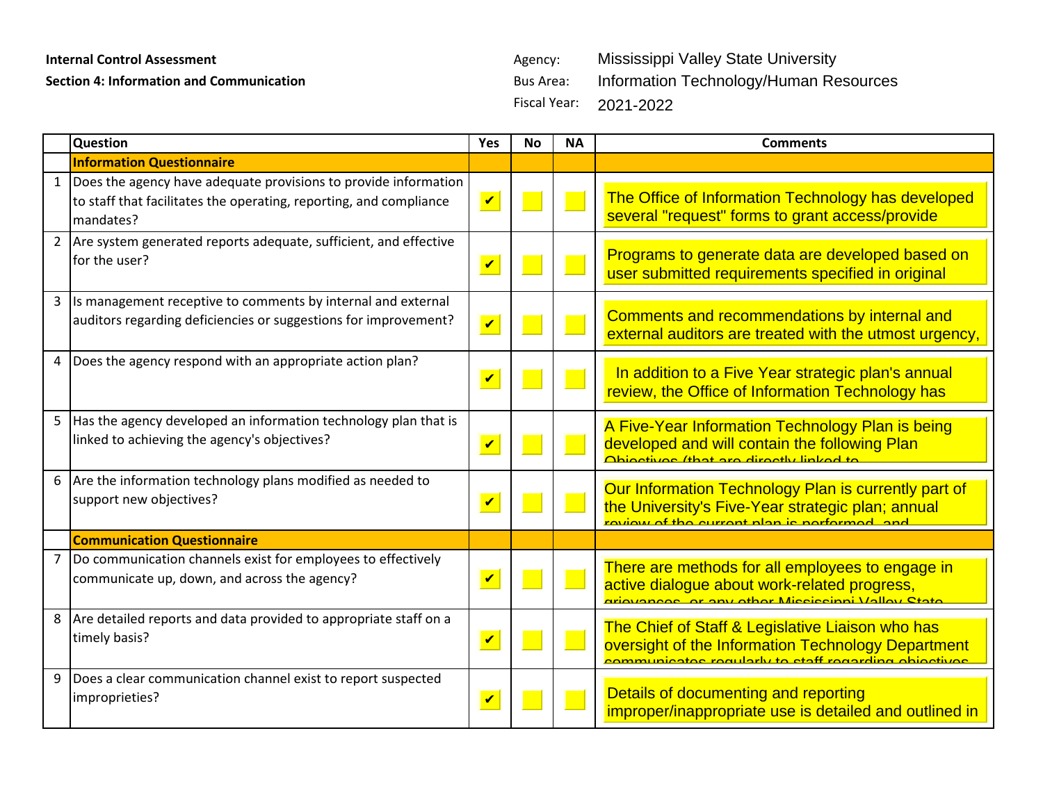## **Internal Control Assessment Agency:** Agency:

**Section 4: Information and Communication Bus Area:** Bus Area:

Fiscal Year: Mississippi Valley State University Information Technology/Human Resources 2021-2022

|                | Question                                                                                                                                             | Yes                        | <b>No</b> | <b>NA</b> | <b>Comments</b>                                                                                                                                                |
|----------------|------------------------------------------------------------------------------------------------------------------------------------------------------|----------------------------|-----------|-----------|----------------------------------------------------------------------------------------------------------------------------------------------------------------|
|                | <b>Information Questionnaire</b>                                                                                                                     |                            |           |           |                                                                                                                                                                |
|                | 1 Does the agency have adequate provisions to provide information<br>to staff that facilitates the operating, reporting, and compliance<br>mandates? | $\overline{\mathbf{v}}$    |           |           | The Office of Information Technology has developed<br>several "request" forms to grant access/provide                                                          |
| $\overline{2}$ | Are system generated reports adequate, sufficient, and effective<br>for the user?                                                                    | $\boldsymbol{\mathcal{U}}$ |           |           | Programs to generate data are developed based on<br>user submitted requirements specified in original                                                          |
|                | 3 Is management receptive to comments by internal and external<br>auditors regarding deficiencies or suggestions for improvement?                    | $\overline{\mathbf{v}}$    |           |           | Comments and recommendations by internal and<br>external auditors are treated with the utmost urgency,                                                         |
| 4              | Does the agency respond with an appropriate action plan?                                                                                             | $\overline{\mathbf{v}}$    |           |           | In addition to a Five Year strategic plan's annual<br>review, the Office of Information Technology has                                                         |
| 5              | Has the agency developed an information technology plan that is<br>linked to achieving the agency's objectives?                                      | $\overline{\mathbf{v}}$    |           |           | A Five-Year Information Technology Plan is being<br>developed and will contain the following Plan<br>Ohiootivoo (that are directly linked to                   |
|                | 6 Are the information technology plans modified as needed to<br>support new objectives?                                                              | $\boldsymbol{\mathcal{U}}$ |           |           | Our Information Technology Plan is currently part of<br>the University's Five-Year strategic plan; annual<br><u>rovious of the current plan is performed</u>   |
|                | <b>Communication Questionnaire</b>                                                                                                                   |                            |           |           |                                                                                                                                                                |
| 7              | Do communication channels exist for employees to effectively<br>communicate up, down, and across the agency?                                         | $\overline{\mathbf{v}}$    |           |           | There are methods for all employees to engage in<br>active dialogue about work-related progress,<br><u>ariovancos ar any other Mississinni Valloy Rtate</u>    |
|                | 8 Are detailed reports and data provided to appropriate staff on a<br>timely basis?                                                                  | $\boldsymbol{\mathcal{U}}$ |           |           | The Chief of Staff & Legislative Liaison who has<br>oversight of the Information Technology Department<br>communicator roquiarly to staff rogarding objectives |
| 9              | Does a clear communication channel exist to report suspected<br>improprieties?                                                                       | $\overline{\mathbf{v}}$    |           |           | Details of documenting and reporting<br>improper/inappropriate use is detailed and outlined in                                                                 |